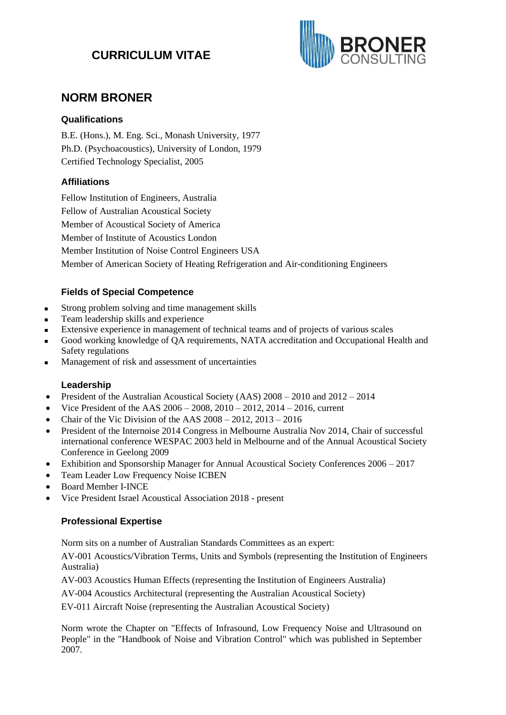# **CURRICULUM VITAE**



# **NORM BRONER**

# **Qualifications**

B.E. (Hons.), M. Eng. Sci., Monash University, 1977 Ph.D. (Psychoacoustics), University of London, 1979 Certified Technology Specialist, 2005

# **Affiliations**

Fellow Institution of Engineers, Australia Fellow of Australian Acoustical Society Member of Acoustical Society of America Member of Institute of Acoustics London Member Institution of Noise Control Engineers USA Member of American Society of Heating Refrigeration and Air-conditioning Engineers

# **Fields of Special Competence**

- Strong problem solving and time management skills
- Team leadership skills and experience
- Extensive experience in management of technical teams and of projects of various scales
- Good working knowledge of OA requirements, NATA accreditation and Occupational Health and Safety regulations
- Management of risk and assessment of uncertainties

## **Leadership**

- President of the Australian Acoustical Society (AAS)  $2008 2010$  and  $2012 2014$
- Vice President of the AAS 2006 2008, 2010 2012, 2014 2016, current
- Chair of the Vic Division of the AAS  $2008 2012$ ,  $2013 2016$
- President of the Internoise 2014 Congress in Melbourne Australia Nov 2014, Chair of successful international conference WESPAC 2003 held in Melbourne and of the Annual Acoustical Society Conference in Geelong 2009
- Exhibition and Sponsorship Manager for Annual Acoustical Society Conferences 2006 2017
- Team Leader Low Frequency Noise ICBEN
- Board Member I-INCE
- Vice President Israel Acoustical Association 2018 present

## **Professional Expertise**

Norm sits on a number of Australian Standards Committees as an expert:

AV-001 Acoustics/Vibration Terms, Units and Symbols (representing the Institution of Engineers Australia)

AV-003 Acoustics Human Effects (representing the Institution of Engineers Australia)

AV-004 Acoustics Architectural (representing the Australian Acoustical Society)

EV-011 Aircraft Noise (representing the Australian Acoustical Society)

Norm wrote the Chapter on "Effects of Infrasound, Low Frequency Noise and Ultrasound on People" in the "Handbook of Noise and Vibration Control" which was published in September 2007.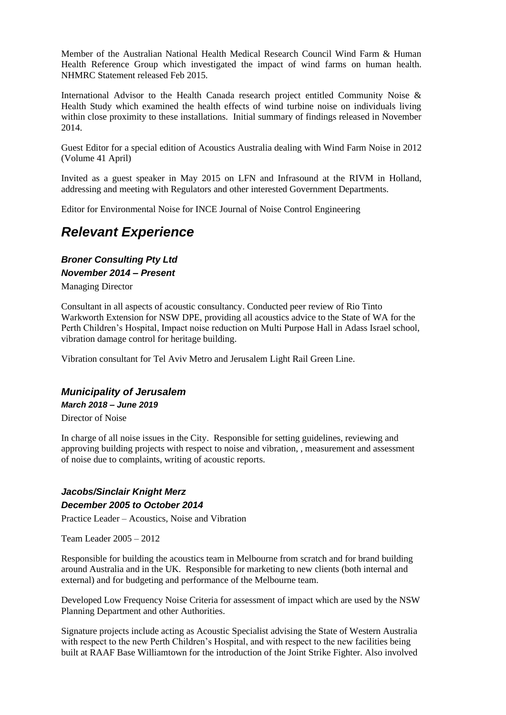Member of the Australian National Health Medical Research Council Wind Farm & Human Health Reference Group which investigated the impact of wind farms on human health. NHMRC Statement released Feb 2015.

International Advisor to the Health Canada research project entitled Community Noise & Health Study which examined the health effects of wind turbine noise on individuals living within close proximity to these installations. Initial summary of findings released in November 2014.

Guest Editor for a special edition of Acoustics Australia dealing with Wind Farm Noise in 2012 (Volume 41 April)

Invited as a guest speaker in May 2015 on LFN and Infrasound at the RIVM in Holland, addressing and meeting with Regulators and other interested Government Departments.

Editor for Environmental Noise for INCE Journal of Noise Control Engineering

# *Relevant Experience*

# *Broner Consulting Pty Ltd November 2014 – Present*

Managing Director

Consultant in all aspects of acoustic consultancy. Conducted peer review of Rio Tinto Warkworth Extension for NSW DPE, providing all acoustics advice to the State of WA for the Perth Children's Hospital, Impact noise reduction on Multi Purpose Hall in Adass Israel school, vibration damage control for heritage building.

Vibration consultant for Tel Aviv Metro and Jerusalem Light Rail Green Line.

# *Municipality of Jerusalem March 2018 – June 2019*

Director of Noise

In charge of all noise issues in the City. Responsible for setting guidelines, reviewing and approving building projects with respect to noise and vibration, , measurement and assessment of noise due to complaints, writing of acoustic reports.

# *Jacobs/Sinclair Knight Merz December 2005 to October 2014*

Practice Leader – Acoustics, Noise and Vibration

Team Leader 2005 – 2012

Responsible for building the acoustics team in Melbourne from scratch and for brand building around Australia and in the UK. Responsible for marketing to new clients (both internal and external) and for budgeting and performance of the Melbourne team.

Developed Low Frequency Noise Criteria for assessment of impact which are used by the NSW Planning Department and other Authorities.

Signature projects include acting as Acoustic Specialist advising the State of Western Australia with respect to the new Perth Children's Hospital, and with respect to the new facilities being built at RAAF Base Williamtown for the introduction of the Joint Strike Fighter. Also involved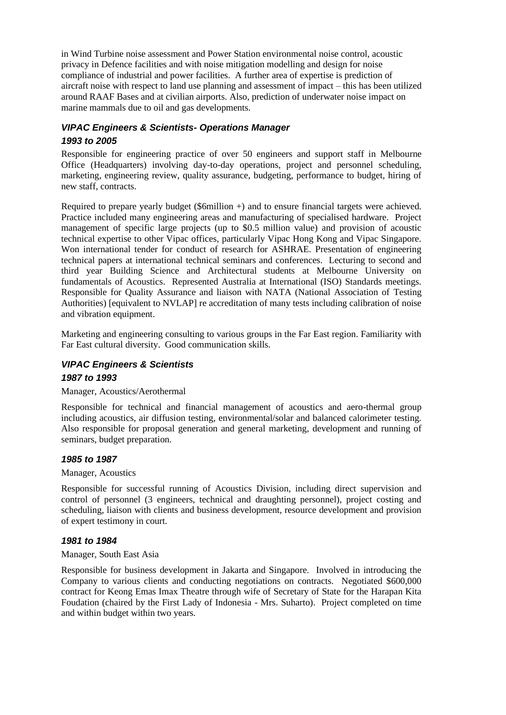in Wind Turbine noise assessment and Power Station environmental noise control, acoustic privacy in Defence facilities and with noise mitigation modelling and design for noise compliance of industrial and power facilities. A further area of expertise is prediction of aircraft noise with respect to land use planning and assessment of impact – this has been utilized around RAAF Bases and at civilian airports. Also, prediction of underwater noise impact on marine mammals due to oil and gas developments.

# *VIPAC Engineers & Scientists- Operations Manager 1993 to 2005*

Responsible for engineering practice of over 50 engineers and support staff in Melbourne Office (Headquarters) involving day-to-day operations, project and personnel scheduling, marketing, engineering review, quality assurance, budgeting, performance to budget, hiring of new staff, contracts.

Required to prepare yearly budget (\$6million +) and to ensure financial targets were achieved. Practice included many engineering areas and manufacturing of specialised hardware. Project management of specific large projects (up to \$0.5 million value) and provision of acoustic technical expertise to other Vipac offices, particularly Vipac Hong Kong and Vipac Singapore. Won international tender for conduct of research for ASHRAE. Presentation of engineering technical papers at international technical seminars and conferences. Lecturing to second and third year Building Science and Architectural students at Melbourne University on fundamentals of Acoustics. Represented Australia at International (ISO) Standards meetings. Responsible for Quality Assurance and liaison with NATA (National Association of Testing Authorities) [equivalent to NVLAP] re accreditation of many tests including calibration of noise and vibration equipment.

Marketing and engineering consulting to various groups in the Far East region. Familiarity with Far East cultural diversity. Good communication skills.

## *VIPAC Engineers & Scientists*

#### *1987 to 1993*

Manager, Acoustics/Aerothermal

Responsible for technical and financial management of acoustics and aero-thermal group including acoustics, air diffusion testing, environmental/solar and balanced calorimeter testing. Also responsible for proposal generation and general marketing, development and running of seminars, budget preparation.

#### *1985 to 1987*

#### Manager, Acoustics

Responsible for successful running of Acoustics Division, including direct supervision and control of personnel (3 engineers, technical and draughting personnel), project costing and scheduling, liaison with clients and business development, resource development and provision of expert testimony in court.

#### *1981 to 1984*

#### Manager, South East Asia

Responsible for business development in Jakarta and Singapore. Involved in introducing the Company to various clients and conducting negotiations on contracts. Negotiated \$600,000 contract for Keong Emas Imax Theatre through wife of Secretary of State for the Harapan Kita Foudation (chaired by the First Lady of Indonesia - Mrs. Suharto). Project completed on time and within budget within two years.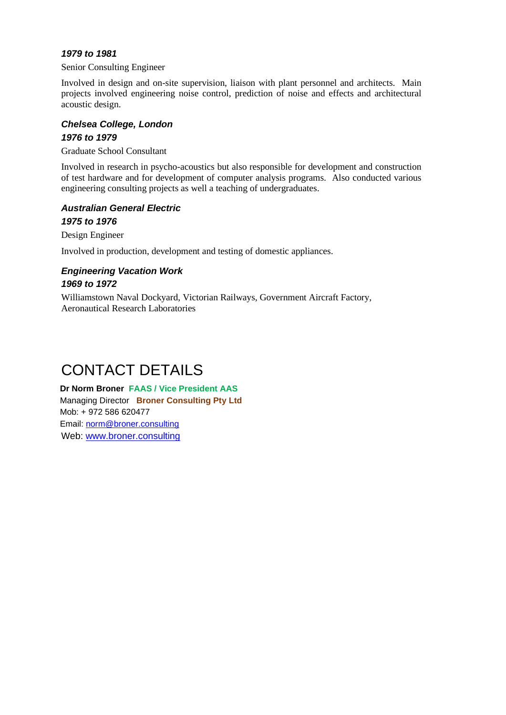## *1979 to 1981*

Senior Consulting Engineer

Involved in design and on-site supervision, liaison with plant personnel and architects. Main projects involved engineering noise control, prediction of noise and effects and architectural acoustic design.

#### *Chelsea College, London 1976 to 1979*

Graduate School Consultant

Involved in research in psycho-acoustics but also responsible for development and construction of test hardware and for development of computer analysis programs. Also conducted various engineering consulting projects as well a teaching of undergraduates.

# *Australian General Electric 1975 to 1976*

Design Engineer

Involved in production, development and testing of domestic appliances.

# *Engineering Vacation Work 1969 to 1972*

Williamstown Naval Dockyard, Victorian Railways, Government Aircraft Factory, Aeronautical Research Laboratories

# CONTACT DETAILS

**Dr Norm Broner FAAS / Vice President AAS** Managing Director **Broner Consulting Pty Ltd** Mob: + 972 586 620477 Email: [norm@broner.consulting](mailto:norm@broner.consulting) Web: [www.broner.consulting](http://www.broner.consulting/)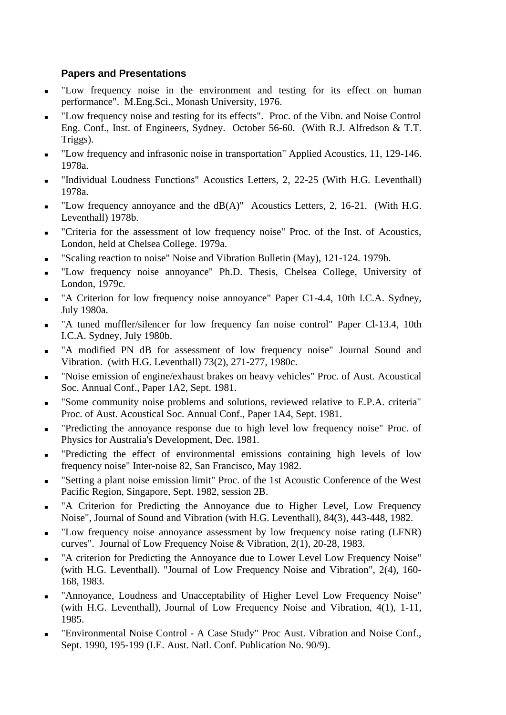# **Papers and Presentations**

- "Low frequency noise in the environment and testing for its effect on human performance". M.Eng.Sci., Monash University, 1976.
- "Low frequency noise and testing for its effects". Proc. of the Vibn. and Noise Control Eng. Conf., Inst. of Engineers, Sydney. October 56-60. (With R.J. Alfredson & T.T. Triggs).
- "Low frequency and infrasonic noise in transportation" Applied Acoustics, 11, 129-146. 1978a.
- "Individual Loudness Functions" Acoustics Letters, 2, 22-25 (With H.G. Leventhall) 1978a.
- "Low frequency annoyance and the  $dB(A)$ " Acoustics Letters, 2, 16-21. (With H.G. Leventhall) 1978b.
- "Criteria for the assessment of low frequency noise" Proc. of the Inst. of Acoustics, London, held at Chelsea College. 1979a.
- "Scaling reaction to noise" Noise and Vibration Bulletin (May), 121-124. 1979b.
- "Low frequency noise annoyance" Ph.D. Thesis, Chelsea College, University of London, 1979c.
- "A Criterion for low frequency noise annoyance" Paper C1-4.4, 10th I.C.A. Sydney, July 1980a.
- "A tuned muffler/silencer for low frequency fan noise control" Paper Cl-13.4, 10th I.C.A. Sydney, July 1980b.
- "A modified PN dB for assessment of low frequency noise" Journal Sound and Vibration. (with H.G. Leventhall) 73(2), 271-277, 1980c.
- <sup>◼</sup> "Noise emission of engine/exhaust brakes on heavy vehicles" Proc. of Aust. Acoustical Soc. Annual Conf., Paper 1A2, Sept. 1981.
- "Some community noise problems and solutions, reviewed relative to E.P.A. criteria" Proc. of Aust. Acoustical Soc. Annual Conf., Paper 1A4, Sept. 1981.
- "Predicting the annoyance response due to high level low frequency noise" Proc. of Physics for Australia's Development, Dec. 1981.
- "Predicting the effect of environmental emissions containing high levels of low frequency noise" Inter-noise 82, San Francisco, May 1982.
- <sup>◼</sup> "Setting a plant noise emission limit" Proc. of the 1st Acoustic Conference of the West Pacific Region, Singapore, Sept. 1982, session 2B.
- "A Criterion for Predicting the Annoyance due to Higher Level, Low Frequency Noise", Journal of Sound and Vibration (with H.G. Leventhall), 84(3), 443-448, 1982.
- "Low frequency noise annoyance assessment by low frequency noise rating (LFNR) curves". Journal of Low Frequency Noise & Vibration, 2(1), 20-28, 1983.
- "A criterion for Predicting the Annoyance due to Lower Level Low Frequency Noise" (with H.G. Leventhall). "Journal of Low Frequency Noise and Vibration", 2(4), 160- 168, 1983.
- "Annoyance, Loudness and Unacceptability of Higher Level Low Frequency Noise" (with H.G. Leventhall), Journal of Low Frequency Noise and Vibration, 4(1), 1-11, 1985.
- "Environmental Noise Control A Case Study" Proc Aust. Vibration and Noise Conf., Sept. 1990, 195-199 (I.E. Aust. Natl. Conf. Publication No. 90/9).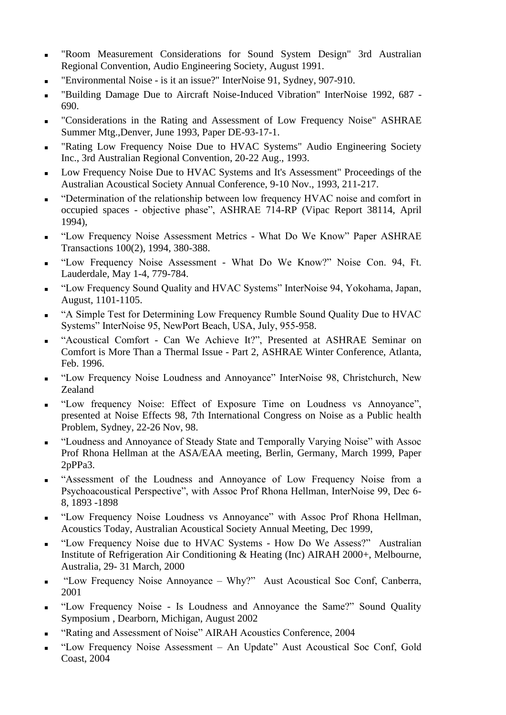- <sup>◼</sup> "Room Measurement Considerations for Sound System Design" 3rd Australian Regional Convention, Audio Engineering Society, August 1991.
- "Environmental Noise is it an issue?" InterNoise 91, Sydney, 907-910.
- "Building Damage Due to Aircraft Noise-Induced Vibration" InterNoise 1992, 687 -690.
- <sup>◼</sup> "Considerations in the Rating and Assessment of Low Frequency Noise" ASHRAE Summer Mtg.,Denver, June 1993, Paper DE-93-17-1.
- "Rating Low Frequency Noise Due to HVAC Systems" Audio Engineering Society Inc., 3rd Australian Regional Convention, 20-22 Aug., 1993.
- Low Frequency Noise Due to HVAC Systems and It's Assessment" Proceedings of the Australian Acoustical Society Annual Conference, 9-10 Nov., 1993, 211-217.
- <sup>◼</sup> "Determination of the relationship between low frequency HVAC noise and comfort in occupied spaces - objective phase", ASHRAE 714-RP (Vipac Report 38114, April 1994),
- "Low Frequency Noise Assessment Metrics What Do We Know" Paper ASHRAE Transactions 100(2), 1994, 380-388.
- "Low Frequency Noise Assessment What Do We Know?" Noise Con. 94, Ft. Lauderdale, May 1-4, 779-784.
- <sup>◼</sup> "Low Frequency Sound Quality and HVAC Systems" InterNoise 94, Yokohama, Japan, August, 1101-1105.
- <sup>◼</sup> "A Simple Test for Determining Low Frequency Rumble Sound Quality Due to HVAC Systems" InterNoise 95, NewPort Beach, USA, July, 955-958.
- <sup>◼</sup> "Acoustical Comfort Can We Achieve It?", Presented at ASHRAE Seminar on Comfort is More Than a Thermal Issue - Part 2, ASHRAE Winter Conference, Atlanta, Feb. 1996.
- "Low Frequency Noise Loudness and Annoyance" InterNoise 98, Christchurch, New Zealand
- "Low frequency Noise: Effect of Exposure Time on Loudness vs Annoyance", presented at Noise Effects 98, 7th International Congress on Noise as a Public health Problem, Sydney, 22-26 Nov, 98.
- "Loudness and Annoyance of Steady State and Temporally Varying Noise" with Assoc Prof Rhona Hellman at the ASA/EAA meeting, Berlin, Germany, March 1999, Paper 2pPPa3.
- <sup>◼</sup> "Assessment of the Loudness and Annoyance of Low Frequency Noise from a Psychoacoustical Perspective", with Assoc Prof Rhona Hellman, InterNoise 99, Dec 6- 8, 1893 -1898
- "Low Frequency Noise Loudness vs Annoyance" with Assoc Prof Rhona Hellman, Acoustics Today, Australian Acoustical Society Annual Meeting, Dec 1999,
- "Low Frequency Noise due to HVAC Systems How Do We Assess?" Australian Institute of Refrigeration Air Conditioning & Heating (Inc) AIRAH 2000+, Melbourne, Australia, 29- 31 March, 2000
- <sup>◼</sup> "Low Frequency Noise Annoyance Why?" Aust Acoustical Soc Conf, Canberra, 2001
- "Low Frequency Noise Is Loudness and Annoyance the Same?" Sound Quality Symposium , Dearborn, Michigan, August 2002
- <sup>◼</sup> "Rating and Assessment of Noise" AIRAH Acoustics Conference, 2004
- <sup>◼</sup> "Low Frequency Noise Assessment An Update" Aust Acoustical Soc Conf, Gold Coast, 2004